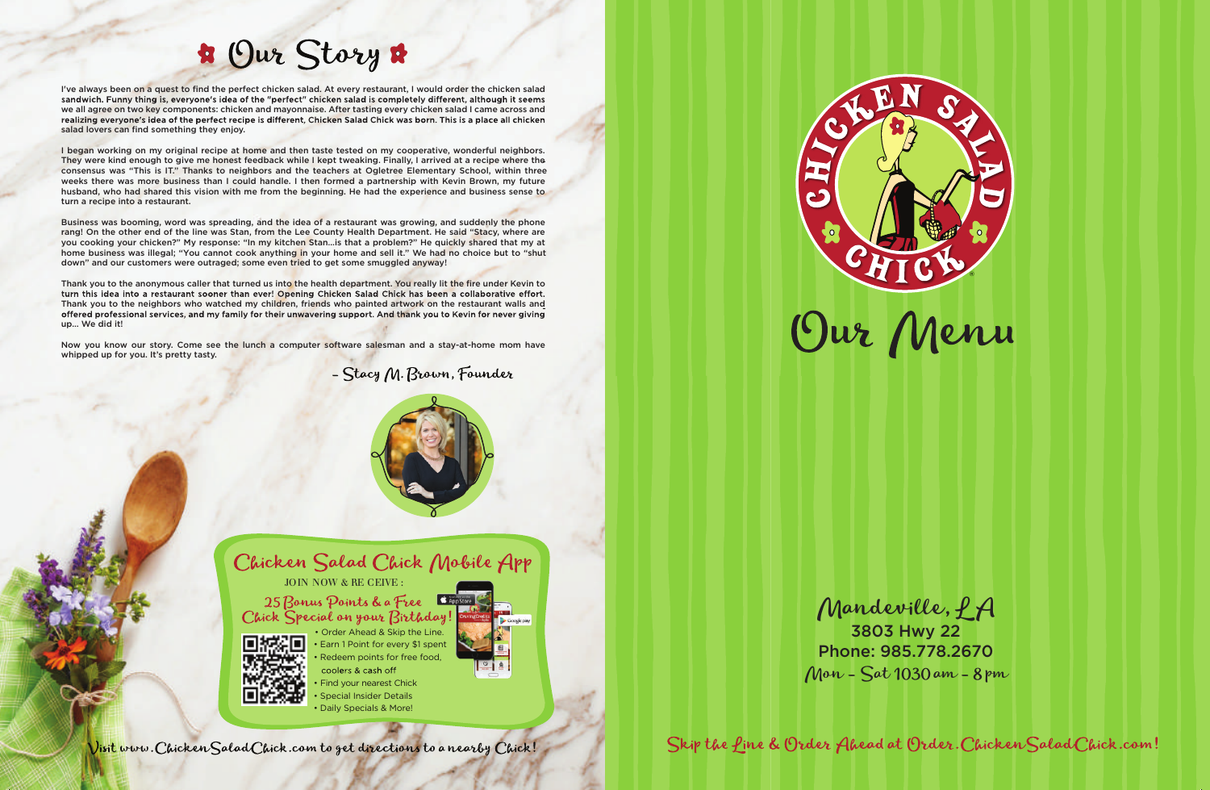

Skip the fine & Order Ahead at Order. Chicken Salad Chick.com!

- coolers & cash off Find your nearest Chick
- Special Insider Details
- Daily Specials & More!



# B Our Story &

I've always been on a quest to find the perfect chicken salad. At every restaurant, I would order the chicken salad sandwich. Funny thing is, everyone's idea of the "perfect" chicken salad is completely different, although it seems we all agree on two key components: chicken and mayonnaise. After tasting every chicken salad I came across and realizing everyone's idea of the perfect recipe is different, Chicken Salad Chick was born. This is a place all chicken salad lovers can find something they enjoy.

I began working on my original recipe at home and then taste tested on my cooperative, wonderful neighbors. They were kind enough to give me honest feedback while I kept tweaking. Finally, I arrived at a recipe where the consensus was "This is IT." Thanks to neighbors and the teachers at Ogletree Elementary School, within three weeks there was more business than I could handle. I then formed a partnership with Kevin Brown, my future husband, who had shared this vision with me from the beginning. He had the experience and business sense to turn a recipe into a restaurant.

Business was booming, word was spreading, and the idea of a restaurant was growing, and suddenly the phone rang! On the other end of the line was Stan, from the Lee County Health Department. He said "Stacy, where are you cooking your chicken?" My response: "In my kitchen Stan…is that a problem?" He quickly shared that my at home business was illegal; "You cannot cook anything in your home and sell it." We had no choice but to "shut down" and our customers were outraged; some even tried to get some smuggled anyway!

Thank you to the anonymous caller that turned us into the health department. You really lit the fire under Kevin to turn this idea into a restaurant sooner than ever! Opening Chicken Salad Chick has been a collaborative effort. Thank you to the neighbors who watched my children, friends who painted artwork on the restaurant walls and offered professional services, and my family for their unwavering support. And thank you to Kevin for never giving up… We did it!

Now you know our story. Come see the lunch a computer software salesman and a stay-at-home mom have whipped up for you. It's pretty tasty.

- Stacy M. Brown, Founder



Chicken Salad Chick Mobile App

JOIN NOW & RE CEIVE :

25 Bonus Points & a Free Chick Special on your Birthday!



• Earn 1 Point for every \$1 spent Redeem points for free food, • Order Ahead & Skip the Line.

Mandeville, LA

3803 Hwy 22 Phone: 985.778.2670 Mon - Sat 1030 am - 8 pm